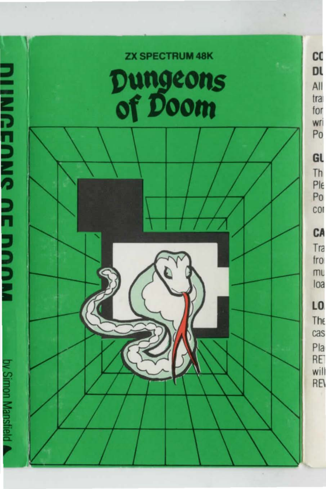**ZX SPECTRUM 48K** 

# Dungeons<br>of Doom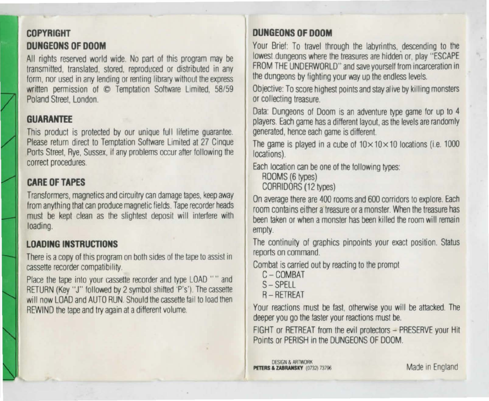# **COPYRIGHT DUNGEONS OF DOOM**

All rights reserved world wide. No part of this program may be transmitted, translated, stored, reproduced or distributed in any form, nor used in any lending or renting library without the express written permission of  $\odot$  Temptation Software Limited. 58/59 Poland Street. London.

### **GUARANTEE**

This product is protected by our unique full lifetime guarantee. Please return direct to Temptation Software Limited at 27 Cinque Ports Street, Rye, Sussex, if any problems occur after following the correct procedures.

# **CARE OFTAPES**

Transformers, magnetics and circuitiy can damage tapes, keep away from anything that can produce magnetic fields. Tape recorder heads must be kept clean as the slightest deposit will intertere with loading.

# **LOADING INSTRUCTIONS**

There is a copy of this program on both sides of the tape to assist in cassette recorder compatibility

Place the tape into your cassette recorder and type LOAD "" and RETURN (Key "J" followed by 2 symbol shitted 'P's') The cassette will now LOAD and AUTO RUN. Should the cassette fail to load then REWIND the tape and try again at a different volume.

# **DUNGEONS OF DOOM**

Your Brief: To travel through the labyrinths, descending to the lowest dungeons where the treasures are hidden or, play "ESCAPE FROM THE UNDERWORLD" and save yourself from incarceration in the dungeons by fighting your way up the endless levels.

Objective: To score highest points and stay alive by killing monsters or collecting treasure.

Data: Dungeons of Doom is an adventure type game for up to 4 players. Each game has a different layout, as the levels are randomly generated, hence each game is different

The game is played in a cube of  $10 \times 10 \times 10$  locations (i.e. 1000) locations).

Each location can be one of the following types:

ROOMS (6 types) CORRIDORS (12 types)

On average there are 400 rooms and 600 corridors to explore. Each room contains either a treasure or a monster. When the treasure has been taken or when a monster has been killed the room will remain empty.

The continuity of graphics pinpoints your exact position. Status reports on command.

Combat is carried out by reacting to the prompt

- C- COMBAT
- $S SPF11$
- A-RETREAT

Your reactions must be fast, otherwise you will be attacked. The deeper you go the faster your reactions must be.

FIGHT or RETREAT from the evil protectors - PRESERVE your Hit Points or PERISH in the DUNGEONS OF DOOM.

**DESIGN & ARTWORK** PETERS & ZABRANSKY (0732) 73796

Made in England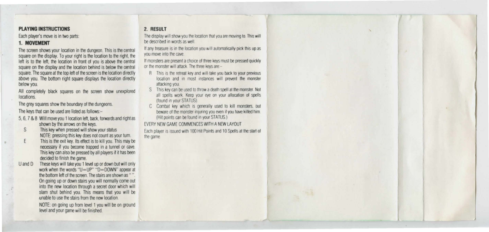#### **PLAYING INSTRUCTIONS**

Each player's move is in two parts:

# **1. MOVEMENT**

The screen shows your location in the dungeon. This is the central square on the display. To your right is the location to the right, the left is to the left, the location in front of you is above the central square on the display and the location behind is below the oentral square. The square at the top left of the screen is the location directly above you. The bottom right square displays the location directly below you.

All completely black squares on the screen show unexplored **locations** 

The grey squares show the boundary of the dungeons.

The keys that can be used are listed as follows:-

- 5, 6. 7 & 8 Will move you 1 location left, back, forwards and right as shown by the arrows on the keys.
- S This key when pressed will show your status NOTE: pressing this key does not count as your turn.
- E This is the exit key. Its effect is to kill you. This may be necessary if you become trapped in a tunnel or cave. This key can also be pressed by all players if it has been decided to finish the game.
- U and D These keys will take you 1 level up or down but will only work when the words "U=UP" "D=DOWN" appear at the bottom left of the screen. The stairs are shown as "". On going up or down stairs you will normally come out into the new location through a secret door which will slam shut behind you. This means that you will be unable to use the stairs from the new location.

NOTE: on going up from level 1 you will be on ground level and your game will be finished.

# 2. **RESULT**

The display will show you the location that you are moving to. This will be described in words as well.

If any treasure is in the location you will automatically pick this up as you move into the cave.

If monsters are present a choice of three keys must be pressed quickly or the monster will attack. The three keys are --

- R This is the retreal key and will take you back lo your previous location and in most instances will prevent the monster attacking you
- S This key can be used to throw a death spell at the monster. Not all spells work. Keep your eye on your allocation of spells (found in your STATUS).
- C Combat key which is generally used to kill monsters, but beware of the monster injuring you even if you have killed him. (Hil points can be found in your STATUS)

EVERY NEW GAME COMMENCES WITH A NEW LAYOUT

Each player is issued with 100 Hit Points and 10 Spells at the start of the game.